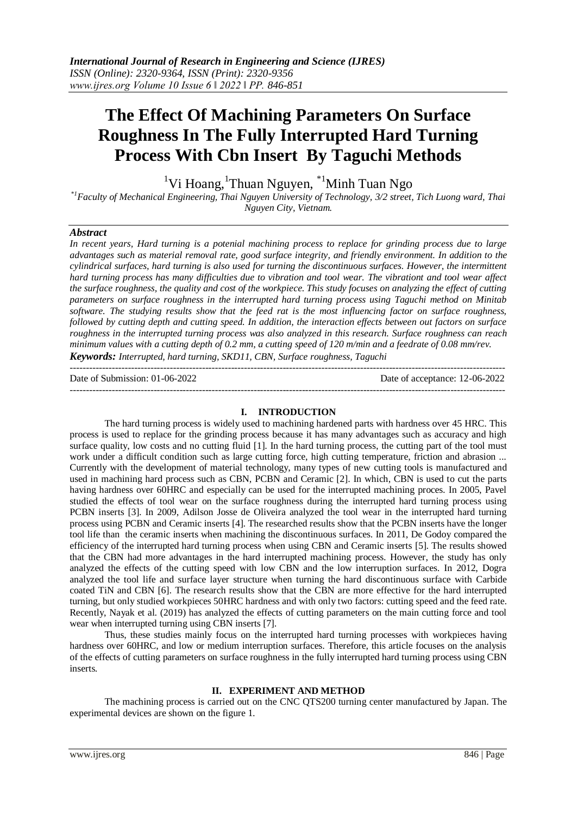---------------------------------------------------------------------------------------------------------------------------------------

# **The Effect Of Machining Parameters On Surface Roughness In The Fully Interrupted Hard Turning Process With Cbn Insert By Taguchi Methods**

<sup>1</sup>Vi Hoang, <sup>1</sup>Thuan Nguyen, <sup>\*1</sup>Minh Tuan Ngo

*\*1Faculty of Mechanical Engineering, Thai Nguyen University of Technology, 3/2 street, Tich Luong ward, Thai Nguyen City, Vietnam.*

# *Abstract*

*In recent years, Hard turning is a potenial machining process to replace for grinding process due to large advantages such as material removal rate, good surface integrity, and friendly environment. In addition to the cylindrical surfaces, hard turning is also used for turning the discontinuous surfaces. However, the intermittent hard turning process has many difficulties due to vibration and tool wear. The vibrationt and tool wear affect the surface roughness, the quality and cost of the workpiece. This study focuses on analyzing the effect of cutting parameters on surface roughness in the interrupted hard turning process using Taguchi method on Minitab software. The studying results show that the feed rat is the most influencing factor on surface roughness, followed by cutting depth and cutting speed. In addition, the interaction effects between out factors on surface roughness in the interrupted turning process was also analyzed in this research. Surface roughness can reach minimum values with a cutting depth of 0.2 mm, a cutting speed of 120 m/min and a feedrate of 0.08 mm/rev. Keywords: Interrupted, hard turning, SKD11, CBN, Surface roughness, Taguchi*

Date of Submission: 01-06-2022 Date of acceptance: 12-06-2022

#### **I. INTRODUCTION**

---------------------------------------------------------------------------------------------------------------------------------------

The hard turning process is widely used to machining hardened parts with hardness over 45 HRC. This process is used to replace for the grinding process because it has many advantages such as accuracy and high surface quality, low costs and no cutting fluid [1]. In the hard turning process, the cutting part of the tool must work under a difficult condition such as large cutting force, high cutting temperature, friction and abrasion ... Currently with the development of material technology, many types of new cutting tools is manufactured and used in machining hard process such as CBN, PCBN and Ceramic [2]. In which, CBN is used to cut the parts having hardness over 60HRC and especially can be used for the interrupted machining proces. In 2005, Pavel studied the effects of tool wear on the surface roughness during the interrupted hard turning process using PCBN inserts [3]. In 2009, Adilson Josse de Oliveira analyzed the tool wear in the interrupted hard turning process using PCBN and Ceramic inserts [4]. The researched results show that the PCBN inserts have the longer tool life than the ceramic inserts when machining the discontinuous surfaces. In 2011, De Godoy compared the efficiency of the interrupted hard turning process when using CBN and Ceramic inserts [5]. The results showed that the CBN had more advantages in the hard interrupted machining process. However, the study has only analyzed the effects of the cutting speed with low CBN and the low interruption surfaces. In 2012, Dogra analyzed the tool life and surface layer structure when turning the hard discontinuous surface with Carbide coated TiN and CBN [6]. The research results show that the CBN are more effective for the hard interrupted turning, but only studied workpieces 50HRC hardness and with only two factors: cutting speed and the feed rate. Recently, Nayak et al. (2019) has analyzed the effects of cutting parameters on the main cutting force and tool wear when interrupted turning using CBN inserts [7].

Thus, these studies mainly focus on the interrupted hard turning processes with workpieces having hardness over 60HRC, and low or medium interruption surfaces. Therefore, this article focuses on the analysis of the effects of cutting parameters on surface roughness in the fully interrupted hard turning process using CBN inserts.

#### **II. EXPERIMENT AND METHOD**

The machining process is carried out on the CNC QTS200 turning center manufactured by Japan. The experimental devices are shown on the figure 1.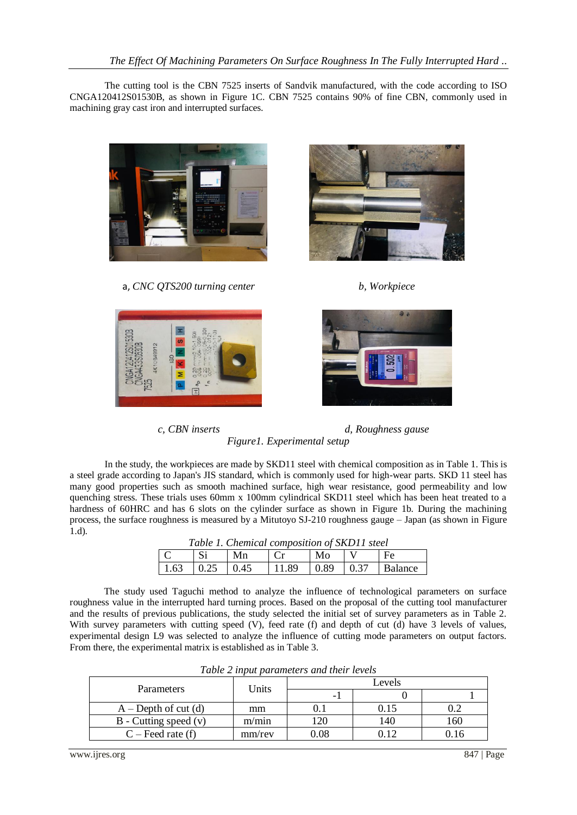The cutting tool is the CBN 7525 inserts of Sandvik manufactured, with the code according to ISO CNGA120412S01530B, as shown in Figure 1C. CBN 7525 contains 90% of fine CBN, commonly used in machining gray cast iron and interrupted surfaces.



a, *CNC QTS200 turning center b, Workpiece*









*c, CBN inserts d, Roughness gause Figure1. Experimental setup*

In the study, the workpieces are made by SKD11 steel with chemical composition as in Table 1. This is a steel grade according to Japan's JIS standard, which is commonly used for high-wear parts. SKD 11 steel has many good properties such as smooth machined surface, high wear resistance, good permeability and low quenching stress. These trials uses 60mm x 100mm cylindrical SKD11 steel which has been heat treated to a hardness of 60HRC and has 6 slots on the cylinder surface as shown in Figure 1b. During the machining process, the surface roughness is measured by a Mitutoyo SJ-210 roughness gauge – Japan (as shown in Figure 1.d).

| Table 1. Chemical composition of SKD11 steel |            |    |    |          |  |                                                    |
|----------------------------------------------|------------|----|----|----------|--|----------------------------------------------------|
| $\mathcal{C}$                                | $\vert$ Si | Mn | Cr | $MO$ $V$ |  | $\mathsf{F}$ e                                     |
|                                              |            |    |    |          |  | 1.63   0.25   0.45   11.89   0.89   0.37   Balance |

The study used Taguchi method to analyze the influence of technological parameters on surface roughness value in the interrupted hard turning proces. Based on the proposal of the cutting tool manufacturer and the results of previous publications, the study selected the initial set of survey parameters as in Table 2. With survey parameters with cutting speed (V), feed rate (f) and depth of cut (d) have 3 levels of values, experimental design L9 was selected to analyze the influence of cutting mode parameters on output factors. From there, the experimental matrix is established as in Table 3.

| Parameters                | Units  | Levels   |      |     |
|---------------------------|--------|----------|------|-----|
|                           |        |          |      |     |
| $A - Depth$ of cut (d)    | mm     |          | 0.15 |     |
| $B$ - Cutting speed $(v)$ | m/min  | 20       | 140  | 160 |
| $C$ – Feed rate (f)       | mm/rev | ${0.08}$ | ) 10 |     |

*Table 2 input parameters and their levels*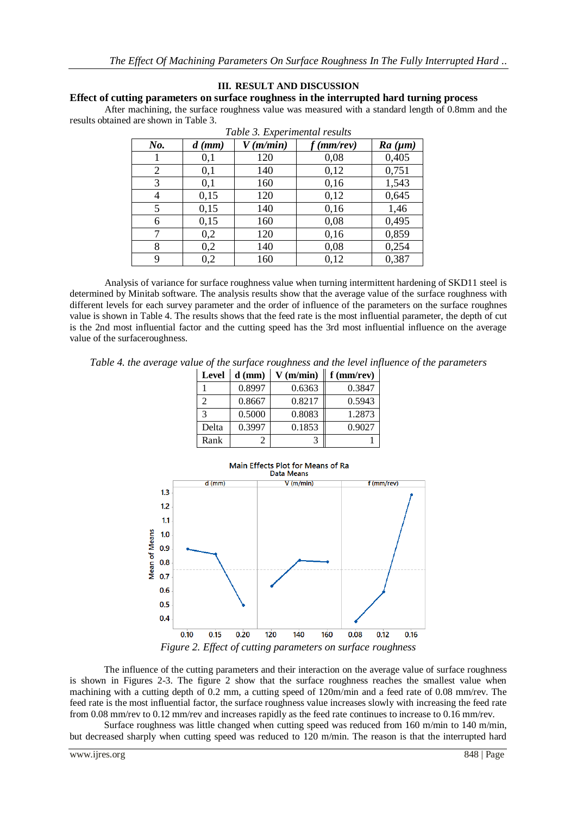# **III. RESULT AND DISCUSSION**

## **Effect of cutting parameters on surface roughness in the interrupted hard turning process**

After machining, the surface roughness value was measured with a standard length of 0.8mm and the results obtained are shown in Table 3.

| Table 3. Experimental results |          |             |              |         |
|-------------------------------|----------|-------------|--------------|---------|
| $N_{0}$ .                     | $d$ (mm) | $V$ (m/min) | $f$ (mm/rev) | Ra (µm) |
|                               | 0,1      | 120         | 0,08         | 0,405   |
| 2                             | 0,1      | 140         | 0,12         | 0,751   |
| 3                             | 0,1      | 160         | 0,16         | 1,543   |
| 4                             | 0,15     | 120         | 0,12         | 0,645   |
| 5                             | 0,15     | 140         | 0,16         | 1,46    |
| 6                             | 0,15     | 160         | 0,08         | 0,495   |
| 7                             | 0,2      | 120         | 0,16         | 0,859   |
| 8                             | 0,2      | 140         | 0,08         | 0,254   |
| 9                             | 0,2      | 160         | 0,12         | 0,387   |

Analysis of variance for surface roughness value when turning intermittent hardening of SKD11 steel is determined by Minitab software. The analysis results show that the average value of the surface roughness with different levels for each survey parameter and the order of influence of the parameters on the surface roughnes value is shown in Table 4. The results shows that the feed rate is the most influential parameter, the depth of cut is the 2nd most influential factor and the cutting speed has the 3rd most influential influence on the average value of the surfaceroughness.

*Table 4. the average value of the surface roughness and the level influence of the parameters*

| Level | $d$ (mm) | $V$ (m/min) | $f$ (mm/rev) |
|-------|----------|-------------|--------------|
|       | 0.8997   | 0.6363      | 0.3847       |
| 2     | 0.8667   | 0.8217      | 0.5943       |
| 3     | 0.5000   | 0.8083      | 1.2873       |
| Delta | 0.3997   | 0.1853      | 0.9027       |
| Rank  |          |             |              |



*Figure 2. Effect of cutting parameters on surface roughness*

The influence of the cutting parameters and their interaction on the average value of surface roughness is shown in Figures 2-3. The figure 2 show that the surface roughness reaches the smallest value when machining with a cutting depth of 0.2 mm, a cutting speed of 120m/min and a feed rate of 0.08 mm/rev. The feed rate is the most influential factor, the surface roughness value increases slowly with increasing the feed rate from 0.08 mm/rev to 0.12 mm/rev and increases rapidly as the feed rate continues to increase to 0.16 mm/rev.

Surface roughness was little changed when cutting speed was reduced from 160 m/min to 140 m/min, but decreased sharply when cutting speed was reduced to 120 m/min. The reason is that the interrupted hard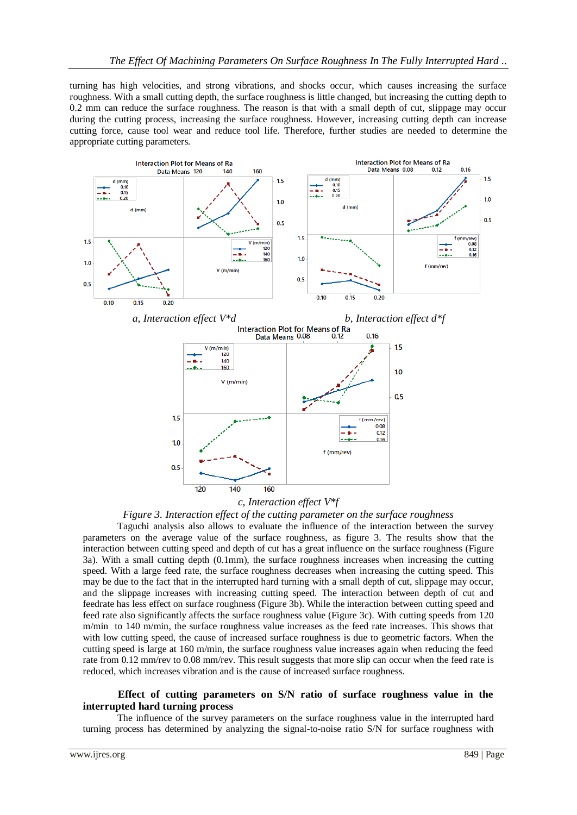turning has high velocities, and strong vibrations, and shocks occur, which causes increasing the surface roughness. With a small cutting depth, the surface roughness is little changed, but increasing the cutting depth to 0.2 mm can reduce the surface roughness. The reason is that with a small depth of cut, slippage may occur during the cutting process, increasing the surface roughness. However, increasing cutting depth can increase cutting force, cause tool wear and reduce tool life. Therefore, further studies are needed to determine the appropriate cutting parameters.



## *c, Interaction effect V\*f*

#### *Figure 3. Interaction effect of the cutting parameter on the surface roughness*

Taguchi analysis also allows to evaluate the influence of the interaction between the survey parameters on the average value of the surface roughness, as figure 3. The results show that the interaction between cutting speed and depth of cut has a great influence on the surface roughness (Figure 3a). With a small cutting depth (0.1mm), the surface roughness increases when increasing the cutting speed. With a large feed rate, the surface roughness decreases when increasing the cutting speed. This may be due to the fact that in the interrupted hard turning with a small depth of cut, slippage may occur, and the slippage increases with increasing cutting speed. The interaction between depth of cut and feedrate has less effect on surface roughness (Figure 3b). While the interaction between cutting speed and feed rate also significantly affects the surface roughness value (Figure 3c). With cutting speeds from 120 m/min to 140 m/min, the surface roughness value increases as the feed rate increases. This shows that with low cutting speed, the cause of increased surface roughness is due to geometric factors. When the cutting speed is large at 160 m/min, the surface roughness value increases again when reducing the feed rate from 0.12 mm/rev to 0.08 mm/rev. This result suggests that more slip can occur when the feed rate is reduced, which increases vibration and is the cause of increased surface roughness.

#### **Effect of cutting parameters on S/N ratio of surface roughness value in the interrupted hard turning process**

The influence of the survey parameters on the surface roughness value in the interrupted hard turning process has determined by analyzing the signal-to-noise ratio S/N for surface roughness with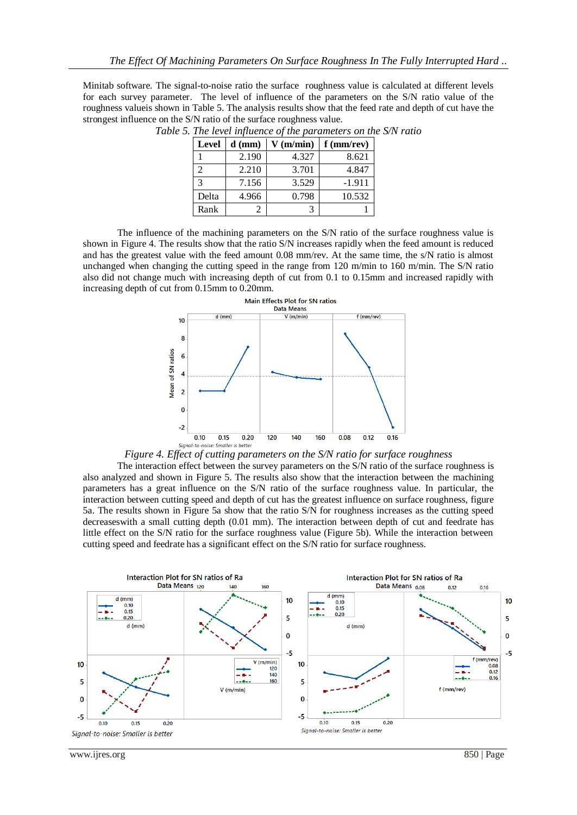Minitab software. The signal-to-noise ratio the surface roughness value is calculated at different levels for each survey parameter. The level of influence of the parameters on the S/N ratio value of the roughness value is shown in Table 5. The analysis results show that the feed rate and depth of cut have the strongest influence on the S/N ratio of the surface roughness value.

| <b>Level</b> | $d$ (mm) | $V$ (m/min) | $f$ (mm/rev) |
|--------------|----------|-------------|--------------|
|              | 2.190    | 4.327       | 8.621        |
| 2.           | 2.210    | 3.701       | 4.847        |
|              | 7.156    | 3.529       | $-1.911$     |
| Delta        | 4.966    | 0.798       | 10.532       |
| Rank         |          |             |              |

*Table 5. The level influence of the parameters on the S/N ratio*

The influence of the machining parameters on the S/N ratio of the surface roughness value is shown in Figure 4. The results show that the ratio S/N increases rapidly when the feed amount is reduced and has the greatest value with the feed amount 0.08 mm/rev. At the same time, the s/N ratio is almost unchanged when changing the cutting speed in the range from 120 m/min to 160 m/min. The S/N ratio also did not change much with increasing depth of cut from 0.1 to 0.15mm and increased rapidly with increasing depth of cut from 0.15mm to 0.20mm.





The interaction effect between the survey parameters on the S/N ratio of the surface roughness is also analyzed and shown in Figure 5. The results also show that the interaction between the machining parameters has a great influence on the S/N ratio of the surface roughness value. In particular, the interaction between cutting speed and depth of cut has the greatest influence on surface roughness, figure 5a. The results shown in Figure 5a show that the ratio S/N for roughness increases as the cutting speed decreaseswith a small cutting depth (0.01 mm). The interaction between depth of cut and feedrate has little effect on the S/N ratio for the surface roughness value (Figure 5b). While the interaction between cutting speed and feedrate has a significant effect on the S/N ratio for surface roughness.